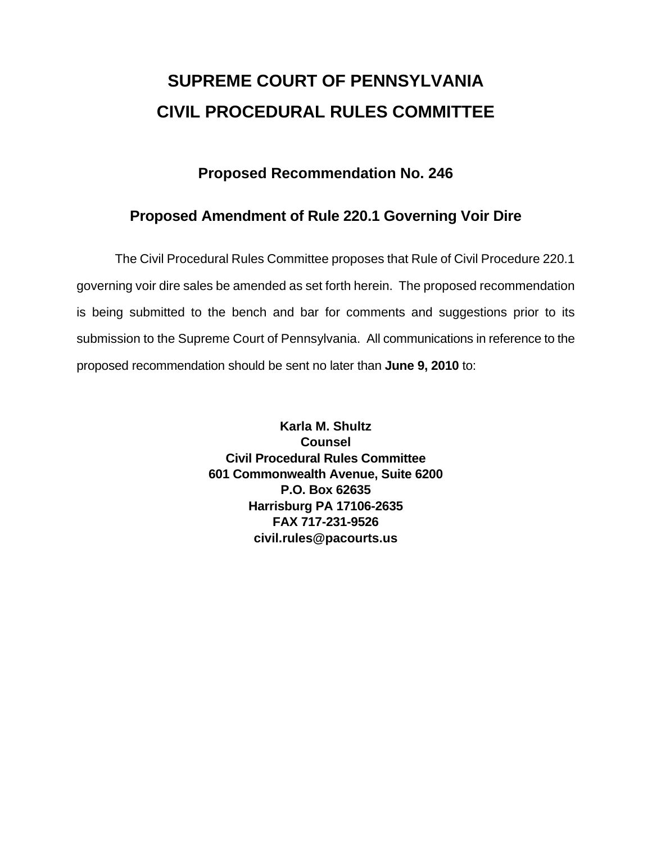# **SUPREME COURT OF PENNSYLVANIA CIVIL PROCEDURAL RULES COMMITTEE**

### **Proposed Recommendation No. 246**

## **Proposed Amendment of Rule 220.1 Governing Voir Dire**

 The Civil Procedural Rules Committee proposes that Rule of Civil Procedure 220.1 governing voir dire sales be amended as set forth herein. The proposed recommendation is being submitted to the bench and bar for comments and suggestions prior to its submission to the Supreme Court of Pennsylvania. All communications in reference to the proposed recommendation should be sent no later than **June 9, 2010** to:

> **Karla M. Shultz Counsel Civil Procedural Rules Committee 601 Commonwealth Avenue, Suite 6200 P.O. Box 62635 Harrisburg PA 17106-2635 FAX 717-231-9526 civil.rules@pacourts.us**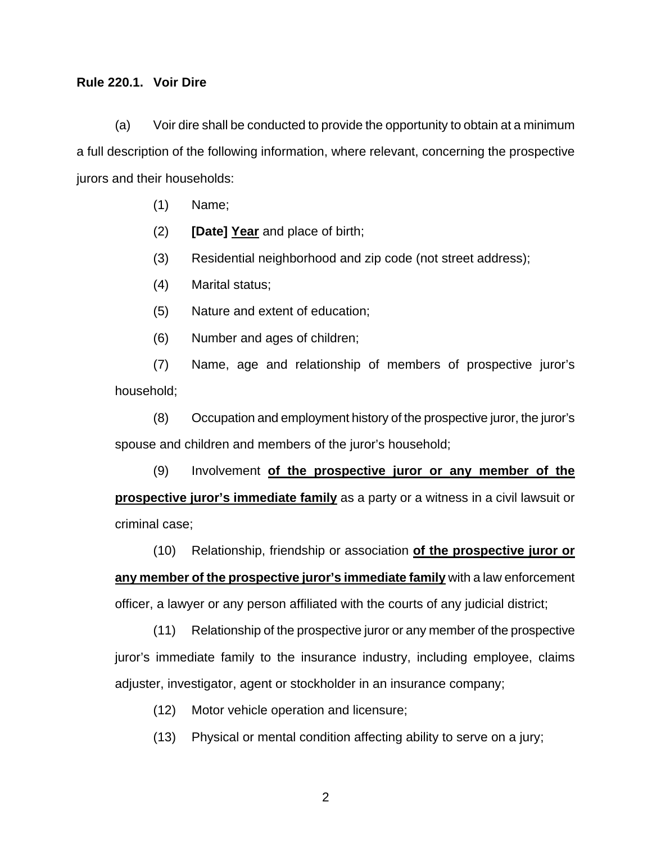#### **Rule 220.1. Voir Dire**

 (a) Voir dire shall be conducted to provide the opportunity to obtain at a minimum a full description of the following information, where relevant, concerning the prospective jurors and their households:

- (1) Name;
- (2) **[Date] Year** and place of birth;
- (3) Residential neighborhood and zip code (not street address);
- (4) Marital status;
- (5) Nature and extent of education;
- (6) Number and ages of children;

 (7) Name, age and relationship of members of prospective juror's household;

(8) Occupation and employment history of the prospective juror, the juror's spouse and children and members of the juror's household;

(9) Involvement **of the prospective juror or any member of the prospective juror's immediate family** as a party or a witness in a civil lawsuit or criminal case;

 (10) Relationship, friendship or association **of the prospective juror or any member of the prospective juror's immediate family** with a law enforcement officer, a lawyer or any person affiliated with the courts of any judicial district;

(11) Relationship of the prospective juror or any member of the prospective juror's immediate family to the insurance industry, including employee, claims adjuster, investigator, agent or stockholder in an insurance company;

- (12) Motor vehicle operation and licensure;
- (13) Physical or mental condition affecting ability to serve on a jury;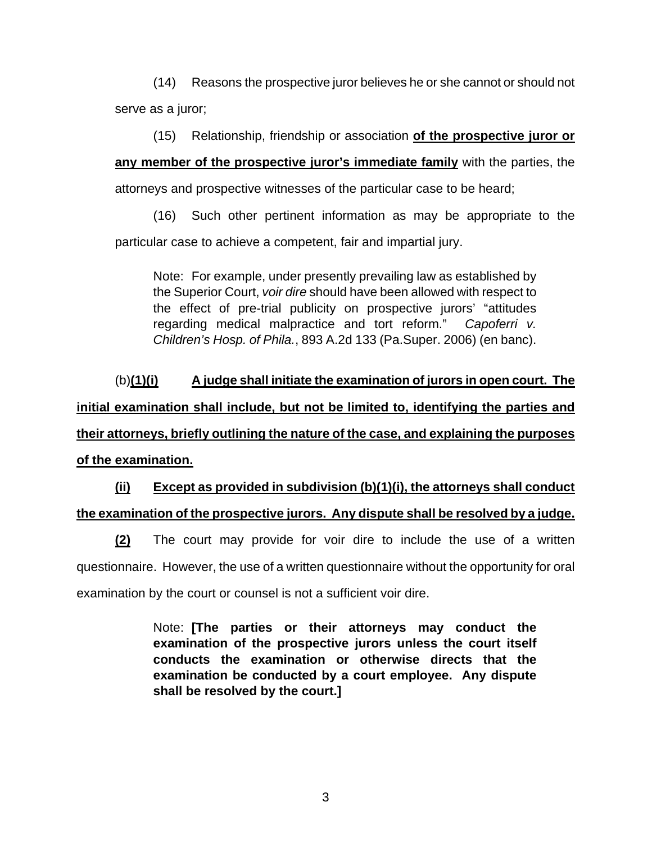(14) Reasons the prospective juror believes he or she cannot or should not serve as a juror;

(15) Relationship, friendship or association **of the prospective juror or** 

**any member of the prospective juror's immediate family** with the parties, the

attorneys and prospective witnesses of the particular case to be heard;

(16) Such other pertinent information as may be appropriate to the particular case to achieve a competent, fair and impartial jury.

Note: For example, under presently prevailing law as established by the Superior Court, *voir dire* should have been allowed with respect to the effect of pre-trial publicity on prospective jurors' "attitudes regarding medical malpractice and tort reform." *Capoferri v. Children's Hosp. of Phila.*, 893 A.2d 133 (Pa.Super. 2006) (en banc).

(b)**(1)(i) A judge shall initiate the examination of jurors in open court. The initial examination shall include, but not be limited to, identifying the parties and their attorneys, briefly outlining the nature of the case, and explaining the purposes of the examination.** 

**(ii) Except as provided in subdivision (b)(1)(i), the attorneys shall conduct the examination of the prospective jurors. Any dispute shall be resolved by a judge.**

**(2)** The court may provide for voir dire to include the use of a written questionnaire. However, the use of a written questionnaire without the opportunity for oral examination by the court or counsel is not a sufficient voir dire.

> Note: **[The parties or their attorneys may conduct the examination of the prospective jurors unless the court itself conducts the examination or otherwise directs that the examination be conducted by a court employee. Any dispute shall be resolved by the court.]**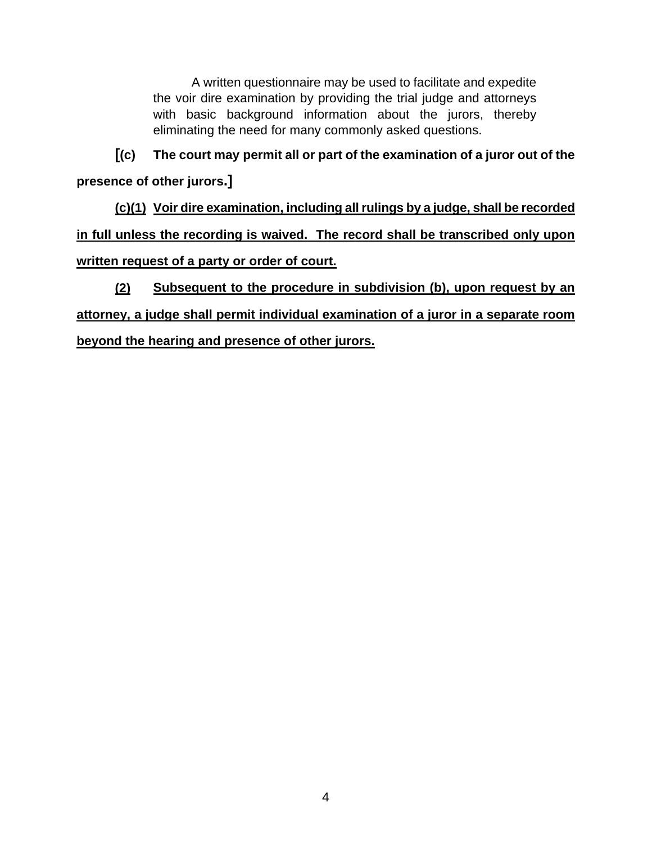A written questionnaire may be used to facilitate and expedite the voir dire examination by providing the trial judge and attorneys with basic background information about the jurors, thereby eliminating the need for many commonly asked questions.

**[(c) The court may permit all or part of the examination of a juror out of the presence of other jurors.]**

**(c)(1) Voir dire examination, including all rulings by a judge, shall be recorded in full unless the recording is waived. The record shall be transcribed only upon written request of a party or order of court.**

**(2) Subsequent to the procedure in subdivision (b), upon request by an attorney, a judge shall permit individual examination of a juror in a separate room beyond the hearing and presence of other jurors.**